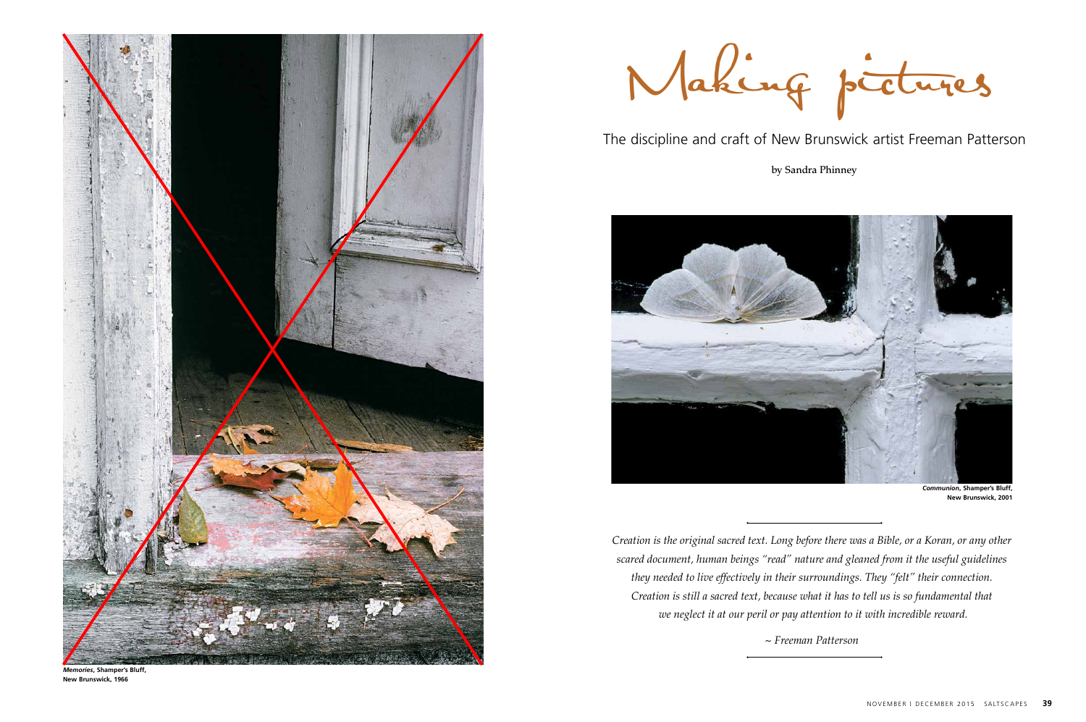*Creation is the original sacred text. Long before there was a Bible, or a Koran, or any other scared document, human beings "read" nature and gleaned from it the useful guidelines they needed to live effectively in their surroundings. They "felt" their connection. Creation is still a sacred text, because what it has to tell us is so fundamental that we neglect it at our peril or pay attention to it with incredible reward.*

*~ Freeman Patterson*



Making picture s

The discipline and craft of New Brunswick artist Freeman Patterson

by Sandra Phinney





*Memories***, Shamper's Bluff, New Brunswick, 1966**

*Communion***, Shamper's Bluff, New Brunswick, 2001**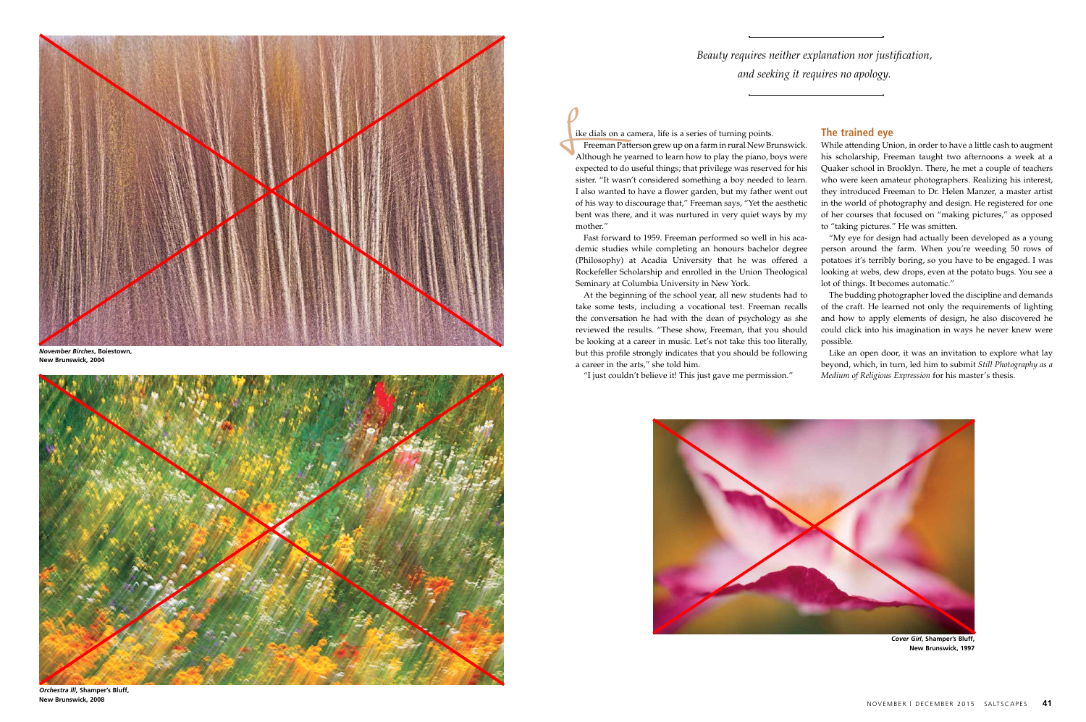Fast forward to 1959. Freeman performed so well in his academic studies while completing an honours bachelor degree (Philosophy) at Acadia University that he was offered a Rockefeller Scholarship and enrolled in the Union Theological Seminary at Columbia University in New York.

At the beginning of the school year, all new students had to take some tests, including a vocational test. Freeman recalls the conversation he had with the dean of psychology as she reviewed the results. "These show, Freeman, that you should be looking at a career in music. Let's not take this too literally, but this profile strongly indicates that you should be following a career in the arts," she told him.

"I just couldn't believe it! This just gave me permission."



*Beauty requires neither explanation nor justification, and seeking it requires no apology.* 

ike dials on a camera, life is a series of turning points. Freeman Patterson grew up on a farm in rural New Brunswick. Although he yearned to learn how to play the piano, boys were expected to do useful things; that privilege was reserved for his sister. "It wasn't considered something a boy needed to learn. I also wanted to have a flower garden, but my father went out of his way to discourage that," Freeman says, "Yet the aesthetic bent was there, and it was nurtured in very quiet ways by my mother." L<sub>ik</sub>

## **The trained eye**

While attending Union, in order to have a little cash to augment his scholarship, Freeman taught two afternoons a week at a Quaker school in Brooklyn. There, he met a couple of teachers who were keen amateur photographers. Realizing his interest, they introduced Freeman to Dr. Helen Manzer, a master artist in the world of photography and design. He registered for one of her courses that focused on "making pictures," as opposed to "taking pictures." He was smitten.

"My eye for design had actually been developed as a young person around the farm. When you're weeding 50 rows of potatoes it's terribly boring, so you have to be engaged. I was looking at webs, dew drops, even at the potato bugs. You see a lot of things. It becomes automatic."

The budding photographer loved the discipline and demands of the craft. He learned not only the requirements of lighting and how to apply elements of design, he also discovered he could click into his imagination in ways he never knew were possible.

Like an open door, it was an invitation to explore what lay beyond, which, in turn, led him to submit *Still Photography as a Medium of Religious Expression* for his master's thesis.



*November Birches***, Boiestown, New Brunswick, 2004**



*Orchestra lll***, Shamper's Bluff, New Brunswick, 2008**

*Cover Girl***, Shamper's Bluff, New Brunswick, 1997**